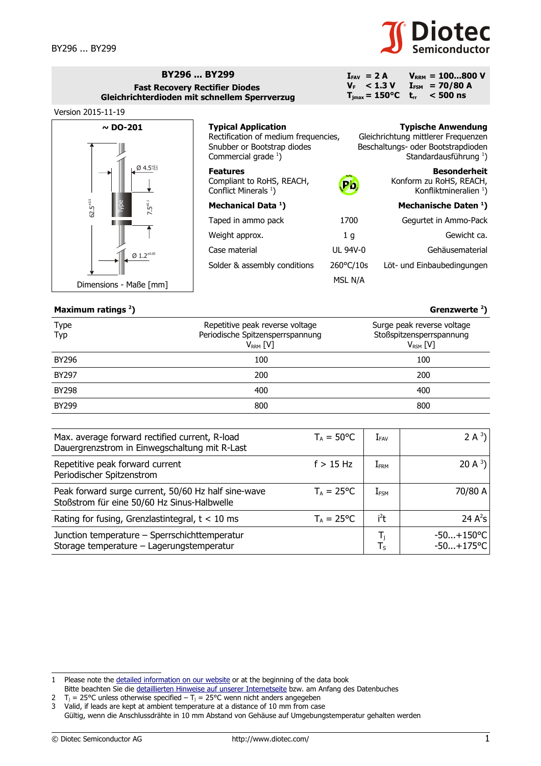

 $V_{\text{RRM}} = 100...800 V$  $I_{FSM}$  = 70/80 A<br>t<sub>rr</sub> < 500 ns **trr < 500 ns**

## **BY296 ... BY299 Fast Recovery Rectifier Diodes Gleichrichterdioden mit schnellem Sperrverzug**



## **Typical Application** Rectification of medium frequencies, Snubber or Bootstrap diodes Commercial grade  $\frac{1}{2}$  $\frac{1}{2}$  $\frac{1}{2}$ ) **Typische Anwendung** Gleichrichtung mittlerer Frequenzen Beschaltungs- oder Bootstrapdioden Standardausführung $<sup>1</sup>$ )</sup> **Features** Compliant to RoHS, REACH, Conflict Minerals  $^1$ ) **Besonderheit** Konform zu RoHS, REACH, Konfliktmineralien<sup>1</sup>) **Mechanical Data <sup>1</sup> ) Mechanische Daten <sup>1</sup> )** Taped in ammo pack 1700 Gegurtet in Ammo-Pack Weight approx. The same state of the series of the Gewicht ca. Case material UL 94V-0 Gehäusematerial Solder & assembly conditions 260°C/10s Löt- und Einbaubedingungen  $P$ **b RoHS**

MSL N/A

 $I_{FAV}$  = 2 A  $V_F$  < 1.3 V  $T_{\text{jmax}} = 150^{\circ}C$ 

## **Maximum ratings [2](#page-0-1)**

| Maximum ratings $2$ ) |                                                                                        | Grenzwerte $2$ )                                                          |
|-----------------------|----------------------------------------------------------------------------------------|---------------------------------------------------------------------------|
| <b>Type</b><br>Typ    | Repetitive peak reverse voltage<br>Periodische Spitzensperrspannung<br>$V_{RRM}$ $[V]$ | Surge peak reverse voltage<br>Stoßspitzensperrspannung<br>$V_{RSM}$ $[V]$ |
| BY296                 | 100                                                                                    | 100                                                                       |
| <b>BY297</b>          | 200                                                                                    | 200                                                                       |
| <b>BY298</b>          | 400                                                                                    | 400                                                                       |
| <b>BY299</b>          | 800                                                                                    | 800                                                                       |

| Max. average forward rectified current, R-load<br>Dauergrenzstrom in Einwegschaltung mit R-Last    | $T_A = 50^{\circ}C$ | $\rm I$ fav      | 2 A $3$ )                    |
|----------------------------------------------------------------------------------------------------|---------------------|------------------|------------------------------|
| Repetitive peak forward current<br>Periodischer Spitzenstrom                                       | $f > 15$ Hz         | I <sub>FRM</sub> | 20 A $3$ )                   |
| Peak forward surge current, 50/60 Hz half sine-wave<br>Stoßstrom für eine 50/60 Hz Sinus-Halbwelle | $T_A = 25$ °C       | $I_{FSM}$        | 70/80 A                      |
| Rating for fusing, Grenzlastintegral, $t < 10$ ms                                                  | $T_A = 25$ °C       | i <sup>2</sup> t | 24 $A^2S$                    |
| Junction temperature - Sperrschichttemperatur<br>Storage temperature - Lagerungstemperatur         |                     | T,<br>$T_S$      | $-50+150$ °C<br>$-50+175$ °C |

<span id="page-0-0"></span><sup>1</sup> Please note the [detailed information on our website](http://diotec.com/en/products/all-products.html) or at the beginning of the data book Bitte beachten Sie die [detaillierten Hinweise auf unserer Internetseite](http://diotec.com/de/produkte/uebersicht.html) bzw. am Anfang des Datenbuches

<span id="page-0-1"></span><sup>2</sup>  $T_j = 25^{\circ}$ C unless otherwise specified –  $T_j = 25^{\circ}$ C wenn nicht anders angegeben

<span id="page-0-2"></span><sup>3</sup> Valid, if leads are kept at ambient temperature at a distance of 10 mm from case

Gültig, wenn die Anschlussdrähte in 10 mm Abstand von Gehäuse auf Umgebungstemperatur gehalten werden